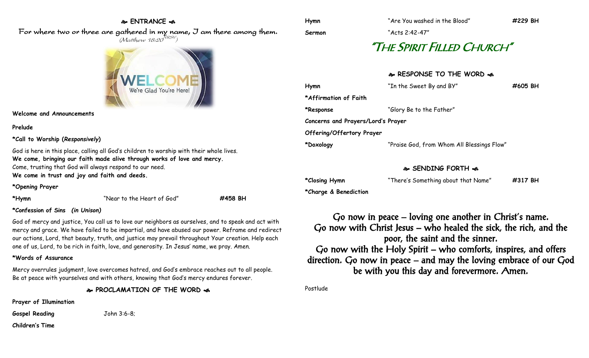## **ENTRANCE**

For where two or three are gathered in my name, I am there among them.  $(M$ atthew 18:20 $^{NRSV})$ 



**Welcome and Announcements**

**Prelude**

**\*Call to Worship (***Responsively***)** 

God is here in this place, calling all God's children to worship with their whole lives. **We come, bringing our faith made alive through works of love and mercy.** Come, trusting that God will always respond to our need. **We come in trust and joy and faith and deeds.**

**\*Opening Prayer**

**\*Hymn** "Near to the Heart of God" **#458 BH**

#### **\*Confession of Sins** *(in Unison)*

God of mercy and justice, You call us to love our neighbors as ourselves, and to speak and act with mercy and grace. We have failed to be impartial, and have abused our power. Reframe and redirect our actions, Lord, that beauty, truth, and justice may prevail throughout Your creation. Help each one of us, Lord, to be rich in faith, love, and generosity. In Jesus' name, we pray. Amen.

#### **\*Words of Assurance**

Mercy overrules judgment, love overcomes hatred, and God's embrace reaches out to all people. Be at peace with yourselves and with others, knowing that God's mercy endures forever.

**PROCLAMATION OF THE WORD** 

**Prayer of Illumination**

**Gospel Reading** John 3:6-8;

**Children's Time**

**Sermon** "Acts 2:42-47"

# "THE SPIRIT FILLED CHURCH"

## **RESPONSE TO THE WORD**  $\approx$

| Hymn                               | "In the Sweet By and BY"                   | #605 BH |
|------------------------------------|--------------------------------------------|---------|
| *Affirmation of Faith              |                                            |         |
| *Response                          | "Glory Be to the Father"                   |         |
| Concerns and Prayers/Lord's Prayer |                                            |         |
| Offering/Offertory Prayer          |                                            |         |
| *Doxology                          | "Praise God, from Whom All Blessings Flow" |         |
|                                    |                                            |         |

## **SENDING FORTH**

**\*Closing Hymn** "There's Something about that Name" **#317 BH**

**\*Charge & Benediction**

Go now in peace – loving one another in Christ's name. Go now with Christ Jesus – who healed the sick, the rich, and the poor, the saint and the sinner. Go now with the Holy Spirit – who comforts, inspires, and offers direction. Go now in peace – and may the loving embrace of our God be with you this day and forevermore. Amen.

Postlude